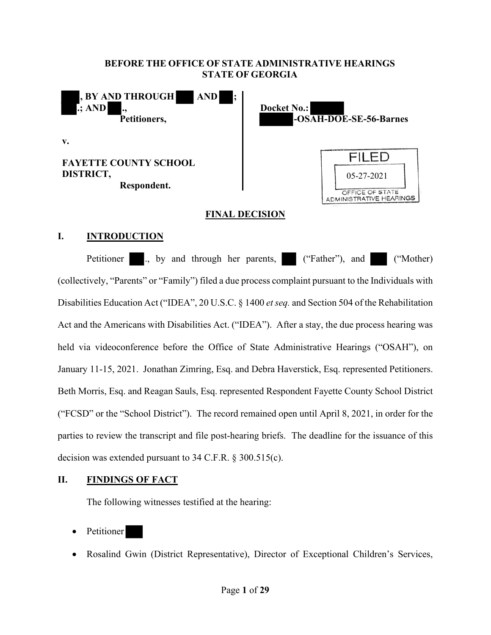# **BEFORE THE OFFICE OF STATE ADMINISTRATIVE HEARINGS STATE OF GEORGIA**



## **FINAL DECISION**

# **I. INTRODUCTION**

Petitioner ., by and through her parents, ("Father"), and ("Mother) (collectively, "Parents" or "Family") filed a due process complaint pursuant to the Individuals with Disabilities Education Act ("IDEA", 20 U.S.C. § 1400 *et seq.* and Section 504 of the Rehabilitation Act and the Americans with Disabilities Act. ("IDEA"). After a stay, the due process hearing was held via videoconference before the Office of State Administrative Hearings ("OSAH"), on January 11-15, 2021. Jonathan Zimring, Esq. and Debra Haverstick, Esq. represented Petitioners. Beth Morris, Esq. and Reagan Sauls, Esq. represented Respondent Fayette County School District ("FCSD" or the "School District"). The record remained open until April 8, 2021, in order for the parties to review the transcript and file post-hearing briefs. The deadline for the issuance of this decision was extended pursuant to 34 C.F.R. § 300.515(c).

# **II. FINDINGS OF FACT**

The following witnesses testified at the hearing:

- Petitioner
- Rosalind Gwin (District Representative), Director of Exceptional Children's Services,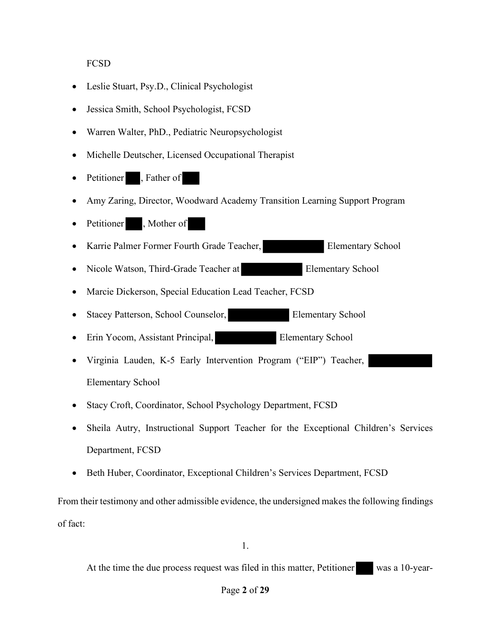**FCSD** 

- Leslie Stuart, Psy.D., Clinical Psychologist
- Jessica Smith, School Psychologist, FCSD
- Warren Walter, PhD., Pediatric Neuropsychologist
- Michelle Deutscher, Licensed Occupational Therapist
- Petitioner , Father of
- Amy Zaring, Director, Woodward Academy Transition Learning Support Program
- Petitioner, Mother of
- Karrie Palmer Former Fourth Grade Teacher, Elementary School
- Nicole Watson, Third-Grade Teacher at Elementary School
- Marcie Dickerson, Special Education Lead Teacher, FCSD
- Stacey Patterson, School Counselor, Elementary School
- Erin Yocom, Assistant Principal, Elementary School
- Virginia Lauden, K-5 Early Intervention Program ("EIP") Teacher, Elementary School
- Stacy Croft, Coordinator, School Psychology Department, FCSD
- Sheila Autry, Instructional Support Teacher for the Exceptional Children's Services Department, FCSD
- Beth Huber, Coordinator, Exceptional Children's Services Department, FCSD

From their testimony and other admissible evidence, the undersigned makes the following findings of fact:

1.

At the time the due process request was filed in this matter, Petitioner was a 10-year-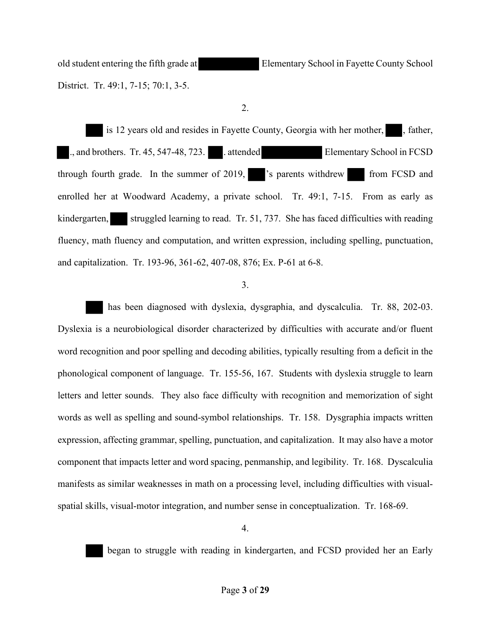old student entering the fifth grade at Elementary School in Fayette County School District. Tr. 49:1, 7-15; 70:1, 3-5.

2.

is 12 years old and resides in Fayette County, Georgia with her mother, , father, ., and brothers. Tr. 45, 547-48, 723. . attended Elementary School in FCSD through fourth grade. In the summer of 2019, <sup>3</sup> 's parents withdrew from FCSD and enrolled her at Woodward Academy, a private school. Tr. 49:1, 7-15. From as early as kindergarten, struggled learning to read. Tr. 51, 737. She has faced difficulties with reading fluency, math fluency and computation, and written expression, including spelling, punctuation, and capitalization. Tr. 193-96, 361-62, 407-08, 876; Ex. P-61 at 6-8.

3.

 has been diagnosed with dyslexia, dysgraphia, and dyscalculia. Tr. 88, 202-03. Dyslexia is a neurobiological disorder characterized by difficulties with accurate and/or fluent word recognition and poor spelling and decoding abilities, typically resulting from a deficit in the phonological component of language. Tr. 155-56, 167. Students with dyslexia struggle to learn letters and letter sounds. They also face difficulty with recognition and memorization of sight words as well as spelling and sound-symbol relationships. Tr. 158. Dysgraphia impacts written expression, affecting grammar, spelling, punctuation, and capitalization. It may also have a motor component that impacts letter and word spacing, penmanship, and legibility. Tr. 168. Dyscalculia manifests as similar weaknesses in math on a processing level, including difficulties with visualspatial skills, visual-motor integration, and number sense in conceptualization. Tr. 168-69.



began to struggle with reading in kindergarten, and FCSD provided her an Early

4.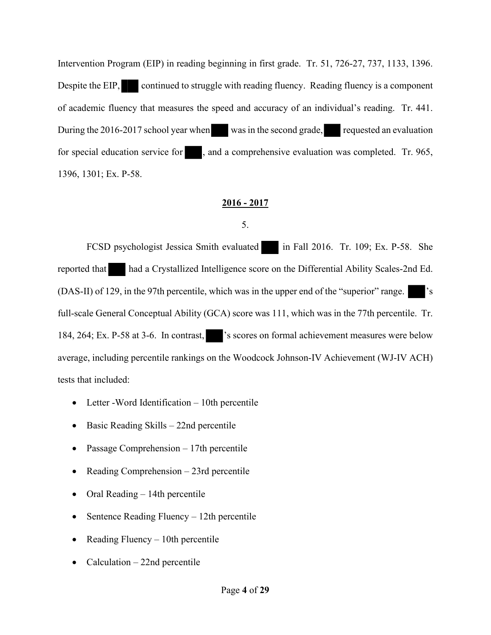Intervention Program (EIP) in reading beginning in first grade. Tr. 51, 726-27, 737, 1133, 1396. Despite the EIP, continued to struggle with reading fluency. Reading fluency is a component of academic fluency that measures the speed and accuracy of an individual's reading. Tr. 441. During the 2016-2017 school year when was in the second grade, requested an evaluation for special education service for , and a comprehensive evaluation was completed. Tr. 965, 1396, 1301; Ex. P-58.

# **2016 - 2017**

5.

FCSD psychologist Jessica Smith evaluated in Fall 2016. Tr. 109; Ex. P-58. She reported that had a Crystallized Intelligence score on the Differential Ability Scales-2nd Ed. (DAS-II) of 129, in the 97th percentile, which was in the upper end of the "superior" range. full-scale General Conceptual Ability (GCA) score was 111, which was in the 77th percentile. Tr. 184, 264; Ex. P-58 at 3-6. In contrast, 's scores on formal achievement measures were below average, including percentile rankings on the Woodcock Johnson-IV Achievement (WJ-IV ACH) tests that included:

- Letter Word Identification 10th percentile
- Basic Reading Skills 22nd percentile
- Passage Comprehension 17th percentile
- Reading Comprehension 23rd percentile
- Oral Reading 14th percentile
- Sentence Reading Fluency 12th percentile
- Reading Fluency  $-10$ th percentile
- Calculation  $-22$ nd percentile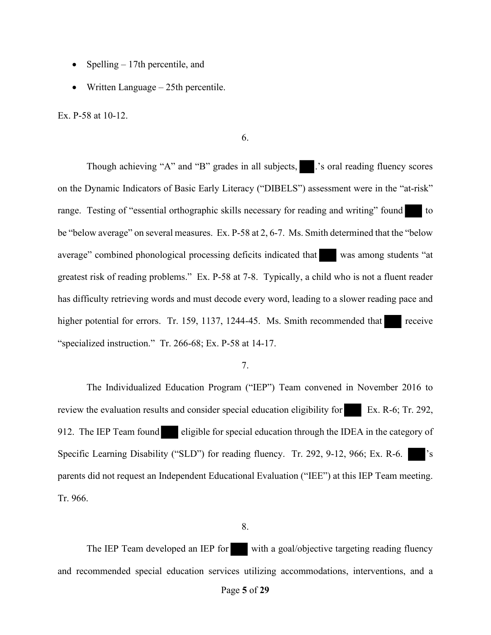- Spelling  $-17$ th percentile, and
- Written Language 25th percentile.

Ex. P-58 at 10-12.

6.

Though achieving "A" and "B" grades in all subjects,  $\blacksquare$  's oral reading fluency scores on the Dynamic Indicators of Basic Early Literacy ("DIBELS") assessment were in the "at-risk" range. Testing of "essential orthographic skills necessary for reading and writing" found to be "below average" on several measures. Ex. P-58 at 2, 6-7. Ms. Smith determined that the "below average" combined phonological processing deficits indicated that was among students "at greatest risk of reading problems." Ex. P-58 at 7-8. Typically, a child who is not a fluent reader has difficulty retrieving words and must decode every word, leading to a slower reading pace and higher potential for errors. Tr. 159, 1137, 1244-45. Ms. Smith recommended that receive "specialized instruction." Tr. 266-68; Ex. P-58 at 14-17.

## 7.

The Individualized Education Program ("IEP") Team convened in November 2016 to review the evaluation results and consider special education eligibility for Ex. R-6; Tr. 292, 912. The IEP Team found eligible for special education through the IDEA in the category of Specific Learning Disability ("SLD") for reading fluency. Tr. 292, 9-12, 966; Ex. R-6. parents did not request an Independent Educational Evaluation ("IEE") at this IEP Team meeting. Tr. 966.

#### 8.

The IEP Team developed an IEP for with a goal/objective targeting reading fluency and recommended special education services utilizing accommodations, interventions, and a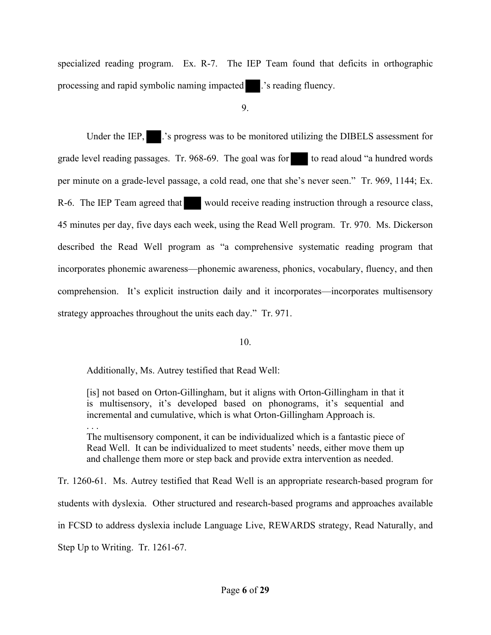specialized reading program. Ex. R-7. The IEP Team found that deficits in orthographic processing and rapid symbolic naming impacted .'s reading fluency.

9.

Under the IEP,  $\blacksquare$  .'s progress was to be monitored utilizing the DIBELS assessment for grade level reading passages. Tr. 968-69. The goal was for to read aloud "a hundred words per minute on a grade-level passage, a cold read, one that she's never seen." Tr. 969, 1144; Ex. R-6. The IEP Team agreed that would receive reading instruction through a resource class, 45 minutes per day, five days each week, using the Read Well program. Tr. 970. Ms. Dickerson described the Read Well program as "a comprehensive systematic reading program that incorporates phonemic awareness—phonemic awareness, phonics, vocabulary, fluency, and then comprehension. It's explicit instruction daily and it incorporates—incorporates multisensory strategy approaches throughout the units each day." Tr. 971.

## 10.

Additionally, Ms. Autrey testified that Read Well:

[is] not based on Orton-Gillingham, but it aligns with Orton-Gillingham in that it is multisensory, it's developed based on phonograms, it's sequential and incremental and cumulative, which is what Orton-Gillingham Approach is. . . .

The multisensory component, it can be individualized which is a fantastic piece of Read Well. It can be individualized to meet students' needs, either move them up and challenge them more or step back and provide extra intervention as needed.

Tr. 1260-61. Ms. Autrey testified that Read Well is an appropriate research-based program for students with dyslexia. Other structured and research-based programs and approaches available in FCSD to address dyslexia include Language Live, REWARDS strategy, Read Naturally, and Step Up to Writing. Tr. 1261-67.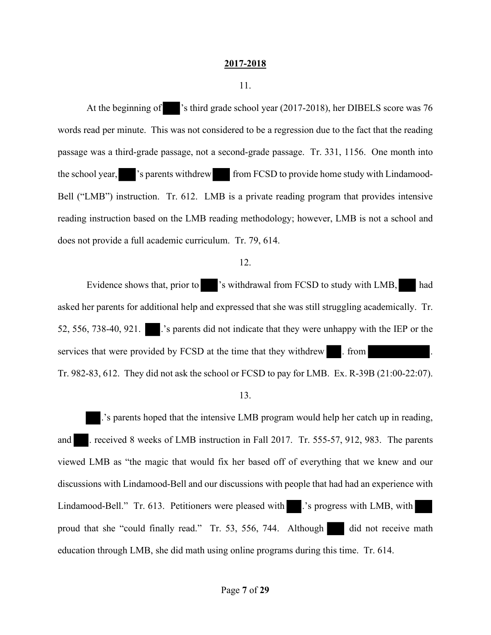#### **2017-2018**

11.

At the beginning of 's third grade school year (2017-2018), her DIBELS score was 76 words read per minute. This was not considered to be a regression due to the fact that the reading passage was a third-grade passage, not a second-grade passage. Tr. 331, 1156. One month into the school year, 's parents withdrew from FCSD to provide home study with Lindamood-Bell ("LMB") instruction. Tr. 612. LMB is a private reading program that provides intensive reading instruction based on the LMB reading methodology; however, LMB is not a school and does not provide a full academic curriculum. Tr. 79, 614.

## 12.

Evidence shows that, prior to 's withdrawal from FCSD to study with LMB, had asked her parents for additional help and expressed that she was still struggling academically. Tr. 52, 556, 738-40, 921. .'s parents did not indicate that they were unhappy with the IEP or the services that were provided by FCSD at the time that they withdrew . from Tr. 982-83, 612. They did not ask the school or FCSD to pay for LMB. Ex. R-39B (21:00-22:07).

13.

.'s parents hoped that the intensive LMB program would help her catch up in reading, and . received 8 weeks of LMB instruction in Fall 2017. Tr. 555-57, 912, 983. The parents viewed LMB as "the magic that would fix her based off of everything that we knew and our discussions with Lindamood-Bell and our discussions with people that had had an experience with Lindamood-Bell." Tr. 613. Petitioners were pleased with .'s progress with LMB, with proud that she "could finally read." Tr. 53, 556, 744. Although did not receive math education through LMB, she did math using online programs during this time. Tr. 614.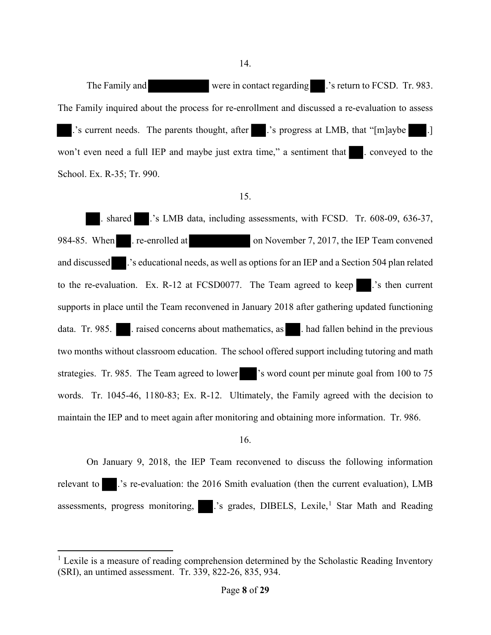14.

The Family and were in contact regarding . 's return to FCSD. Tr. 983. The Family inquired about the process for re-enrollment and discussed a re-evaluation to assess .'s current needs. The parents thought, after .'s progress at LMB, that "[m]aybe .] won't even need a full IEP and maybe just extra time," a sentiment that . conveyed to the School. Ex. R-35; Tr. 990.

## 15.

. shared .'s LMB data, including assessments, with FCSD. Tr. 608-09, 636-37, 984-85. When . re-enrolled at on November 7, 2017, the IEP Team convened and discussed .'s educational needs, as well as options for an IEP and a Section 504 plan related to the re-evaluation. Ex. R-12 at FCSD0077. The Team agreed to keep ...'s then current supports in place until the Team reconvened in January 2018 after gathering updated functioning data. Tr. 985. . raised concerns about mathematics, as . had fallen behind in the previous two months without classroom education. The school offered support including tutoring and math strategies. Tr. 985. The Team agreed to lower 's word count per minute goal from 100 to 75 words. Tr. 1045-46, 1180-83; Ex. R-12. Ultimately, the Family agreed with the decision to maintain the IEP and to meet again after monitoring and obtaining more information. Tr. 986.

#### 16.

On January 9, 2018, the IEP Team reconvened to discuss the following information relevant to .'s re-evaluation: the 2016 Smith evaluation (then the current evaluation), LMB assessments, progress monitoring, ...'s grades, DIBELS, Lexile,<sup>1</sup> Star Math and Reading

 $<sup>1</sup>$  Lexile is a measure of reading comprehension determined by the Scholastic Reading Inventory</sup> (SRI), an untimed assessment. Tr. 339, 822-26, 835, 934.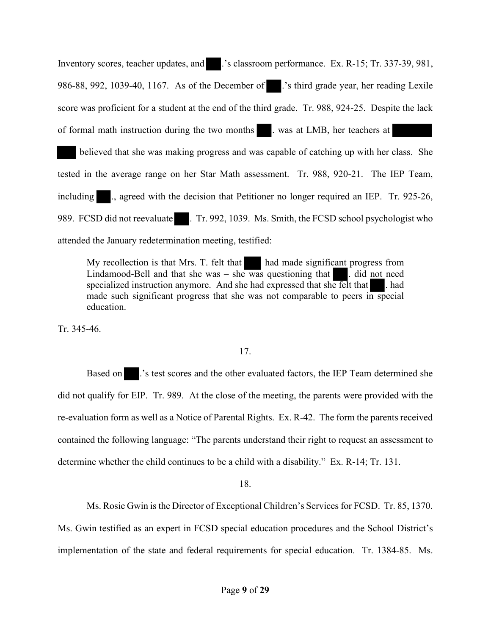Inventory scores, teacher updates, and .'s classroom performance. Ex. R-15; Tr. 337-39, 981, 986-88, 992, 1039-40, 1167. As of the December of .'s third grade year, her reading Lexile score was proficient for a student at the end of the third grade. Tr. 988, 924-25. Despite the lack of formal math instruction during the two months . was at LMB, her teachers at

believed that she was making progress and was capable of catching up with her class. She tested in the average range on her Star Math assessment. Tr. 988, 920-21. The IEP Team, including ., agreed with the decision that Petitioner no longer required an IEP. Tr. 925-26, 989. FCSD did not reevaluate . Tr. 992, 1039. Ms. Smith, the FCSD school psychologist who attended the January redetermination meeting, testified:

My recollection is that Mrs. T. felt that had made significant progress from Lindamood-Bell and that she was – she was questioning that  $\blacksquare$ . did not need specialized instruction anymore. And she had expressed that she felt that  $\blacksquare$ . had made such significant progress that she was not comparable to peers in special education.

Tr. 345-46.

# 17.

Based on ...'s test scores and the other evaluated factors, the IEP Team determined she did not qualify for EIP. Tr. 989. At the close of the meeting, the parents were provided with the re-evaluation form as well as a Notice of Parental Rights. Ex. R-42. The form the parents received contained the following language: "The parents understand their right to request an assessment to determine whether the child continues to be a child with a disability." Ex. R-14; Tr. 131.

18.

Ms. Rosie Gwin is the Director of Exceptional Children's Services for FCSD. Tr. 85, 1370. Ms. Gwin testified as an expert in FCSD special education procedures and the School District's implementation of the state and federal requirements for special education. Tr. 1384-85. Ms.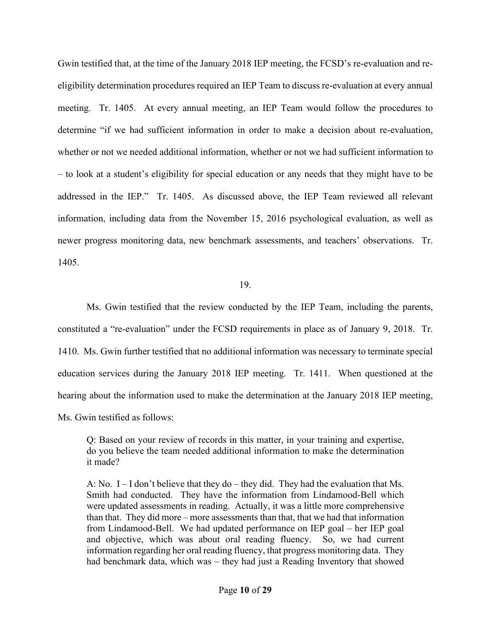Gwin testified that, at the time of the January 2018 IEP meeting, the FCSD's re-evaluation and reeligibility determination procedures required an IEP Team to discuss re-evaluation at every annual meeting. Tr. 1405. At every annual meeting, an IEP Team would follow the procedures to determine "if we had sufficient information in order to make a decision about re-evaluation, whether or not we needed additional information, whether or not we had sufficient information to – to look at a student's eligibility for special education or any needs that they might have to be addressed in the IEP." Tr. 1405. As discussed above, the IEP Team reviewed all relevant information, including data from the November 15, 2016 psychological evaluation, as well as newer progress monitoring data, new benchmark assessments, and teachers' observations. Tr. 1405.

## 19.

Ms. Gwin testified that the review conducted by the IEP Team, including the parents, constituted a "re-evaluation" under the FCSD requirements in place as of January 9, 2018. Tr. 1410. Ms. Gwin further testified that no additional information was necessary to terminate special education services during the January 2018 IEP meeting. Tr. 1411. When questioned at the hearing about the information used to make the determination at the January 2018 IEP meeting, Ms. Gwin testified as follows:

Q: Based on your review of records in this matter, in your training and expertise, do you believe the team needed additional information to make the determination it made?

A: No.  $I - I$  don't believe that they do – they did. They had the evaluation that Ms. Smith had conducted. They have the information from Lindamood-Bell which were updated assessments in reading. Actually, it was a little more comprehensive than that. They did more – more assessments than that, that we had that information from Lindamood-Bell. We had updated performance on IEP goal – her IEP goal and objective, which was about oral reading fluency. So, we had current information regarding her oral reading fluency, that progress monitoring data. They had benchmark data, which was – they had just a Reading Inventory that showed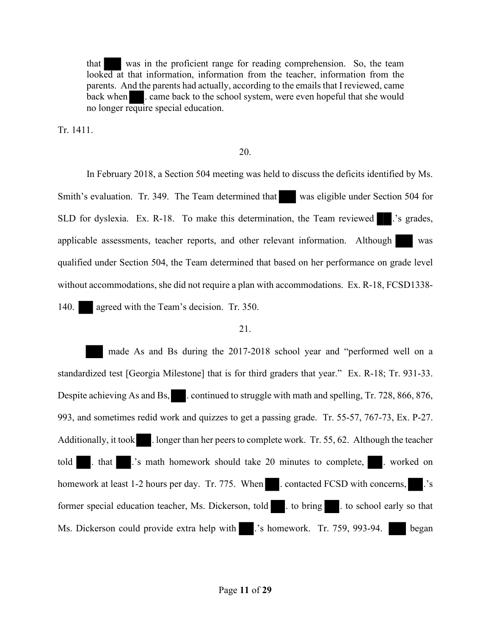that was in the proficient range for reading comprehension. So, the team looked at that information, information from the teacher, information from the parents. And the parents had actually, according to the emails that I reviewed, came back when **.** came back to the school system, were even hopeful that she would no longer require special education.

Tr. 1411.

## 20.

In February 2018, a Section 504 meeting was held to discuss the deficits identified by Ms. Smith's evaluation. Tr. 349. The Team determined that was eligible under Section 504 for SLD for dyslexia. Ex. R-18. To make this determination, the Team reviewed ...'s grades, applicable assessments, teacher reports, and other relevant information. Although was qualified under Section 504, the Team determined that based on her performance on grade level without accommodations, she did not require a plan with accommodations. Ex. R-18, FCSD1338- 140. agreed with the Team's decision. Tr. 350.

## 21.

 made As and Bs during the 2017-2018 school year and "performed well on a standardized test [Georgia Milestone] that is for third graders that year." Ex. R-18; Tr. 931-33. Despite achieving As and Bs, continued to struggle with math and spelling, Tr. 728, 866, 876, 993, and sometimes redid work and quizzes to get a passing grade. Tr. 55-57, 767-73, Ex. P-27. Additionally, it took . longer than her peers to complete work. Tr. 55, 62. Although the teacher told . that .'s math homework should take 20 minutes to complete, . worked on homework at least 1-2 hours per day. Tr. 775. When . contacted FCSD with concerns, ... 's former special education teacher, Ms. Dickerson, told . to bring . to school early so that Ms. Dickerson could provide extra help with ...'s homework. Tr. 759, 993-94. began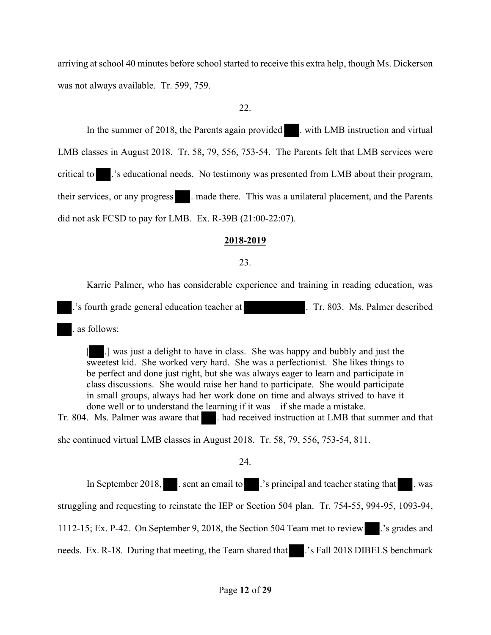arriving at school 40 minutes before school started to receive this extra help, though Ms. Dickerson was not always available. Tr. 599, 759.

## 22.

In the summer of 2018, the Parents again provided . with LMB instruction and virtual LMB classes in August 2018. Tr. 58, 79, 556, 753-54. The Parents felt that LMB services were critical to .'s educational needs. No testimony was presented from LMB about their program, their services, or any progress ... made there. This was a unilateral placement, and the Parents did not ask FCSD to pay for LMB. Ex. R-39B (21:00-22:07).

## **2018-2019**

## 23.

Karrie Palmer, who has considerable experience and training in reading education, was

.'s fourth grade general education teacher at . Tr. 803. Ms. Palmer described

. as follows:

[ .] was just a delight to have in class. She was happy and bubbly and just the sweetest kid. She worked very hard. She was a perfectionist. She likes things to be perfect and done just right, but she was always eager to learn and participate in class discussions. She would raise her hand to participate. She would participate in small groups, always had her work done on time and always strived to have it done well or to understand the learning if it was – if she made a mistake.

Tr. 804. Ms. Palmer was aware that **...** had received instruction at LMB that summer and that

she continued virtual LMB classes in August 2018. Tr. 58, 79, 556, 753-54, 811.

24.

In September 2018, . sent an email to . .'s principal and teacher stating that . was struggling and requesting to reinstate the IEP or Section 504 plan. Tr. 754-55, 994-95, 1093-94, 1112-15; Ex. P-42. On September 9, 2018, the Section 504 Team met to review .'s grades and needs. Ex. R-18. During that meeting, the Team shared that ... 's Fall 2018 DIBELS benchmark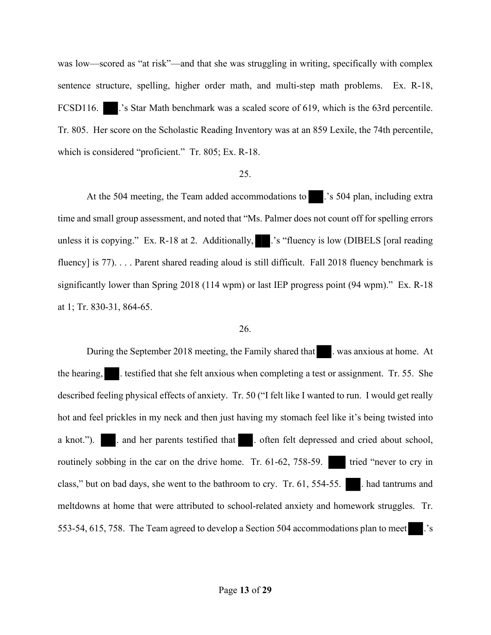was low—scored as "at risk"—and that she was struggling in writing, specifically with complex sentence structure, spelling, higher order math, and multi-step math problems. Ex. R-18, FCSD116. . .'s Star Math benchmark was a scaled score of 619, which is the 63rd percentile. Tr. 805. Her score on the Scholastic Reading Inventory was at an 859 Lexile, the 74th percentile, which is considered "proficient." Tr. 805; Ex. R-18.

#### 25.

At the 504 meeting, the Team added accommodations to .'s 504 plan, including extra time and small group assessment, and noted that "Ms. Palmer does not count off for spelling errors unless it is copying." Ex. R-18 at 2. Additionally,  $\blacksquare$ .'s "fluency is low (DIBELS [oral reading fluency] is 77). . . . Parent shared reading aloud is still difficult. Fall 2018 fluency benchmark is significantly lower than Spring 2018 (114 wpm) or last IEP progress point (94 wpm)." Ex. R-18 at 1; Tr. 830-31, 864-65.

#### 26.

During the September 2018 meeting, the Family shared that . was anxious at home. At the hearing, i.estified that she felt anxious when completing a test or assignment. Tr. 55. She described feeling physical effects of anxiety. Tr. 50 ("I felt like I wanted to run. I would get really hot and feel prickles in my neck and then just having my stomach feel like it's being twisted into a knot."). . . . . and her parents testified that . . often felt depressed and cried about school, routinely sobbing in the car on the drive home. Tr.  $61-62$ ,  $758-59$ . tried "never to cry in class," but on bad days, she went to the bathroom to cry. Tr.  $61, 554-55$ . . had tantrums and meltdowns at home that were attributed to school-related anxiety and homework struggles. Tr. 553-54, 615, 758. The Team agreed to develop a Section 504 accommodations plan to meet .'s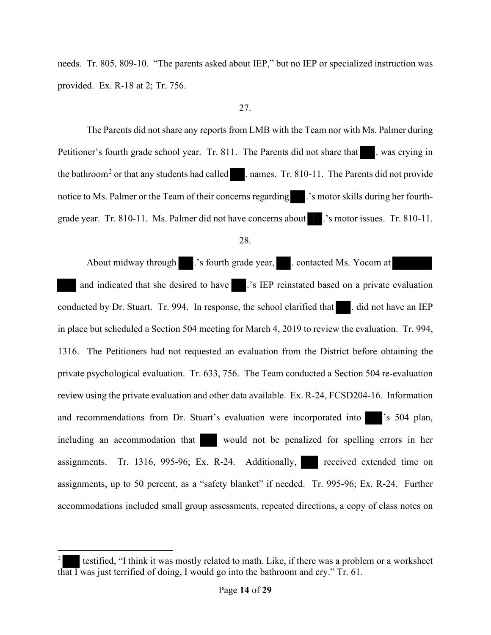needs. Tr. 805, 809-10. "The parents asked about IEP," but no IEP or specialized instruction was provided. Ex. R-18 at 2; Tr. 756.

# 27.

The Parents did not share any reports from LMB with the Team nor with Ms. Palmer during Petitioner's fourth grade school year. Tr. 811. The Parents did not share that . was crying in the bathroom<sup>2</sup> or that any students had called ... names. Tr. 810-11. The Parents did not provide notice to Ms. Palmer or the Team of their concerns regarding .'s motor skills during her fourthgrade year. Tr. 810-11. Ms. Palmer did not have concerns about .'s motor issues. Tr. 810-11.

About midway through .'s fourth grade year, . contacted Ms. Yocom at and indicated that she desired to have .'s IEP reinstated based on a private evaluation conducted by Dr. Stuart. Tr. 994. In response, the school clarified that . did not have an IEP in place but scheduled a Section 504 meeting for March 4, 2019 to review the evaluation. Tr. 994, 1316. The Petitioners had not requested an evaluation from the District before obtaining the private psychological evaluation. Tr. 633, 756. The Team conducted a Section 504 re-evaluation review using the private evaluation and other data available. Ex. R-24, FCSD204-16. Information and recommendations from Dr. Stuart's evaluation were incorporated into 's 504 plan, including an accommodation that would not be penalized for spelling errors in her assignments. Tr. 1316, 995-96; Ex. R-24. Additionally, received extended time on assignments, up to 50 percent, as a "safety blanket" if needed. Tr. 995-96; Ex. R-24. Further accommodations included small group assessments, repeated directions, a copy of class notes on

<sup>28.</sup> 

<sup>2</sup> testified, "I think it was mostly related to math. Like, if there was a problem or a worksheet that I was just terrified of doing, I would go into the bathroom and cry." Tr. 61.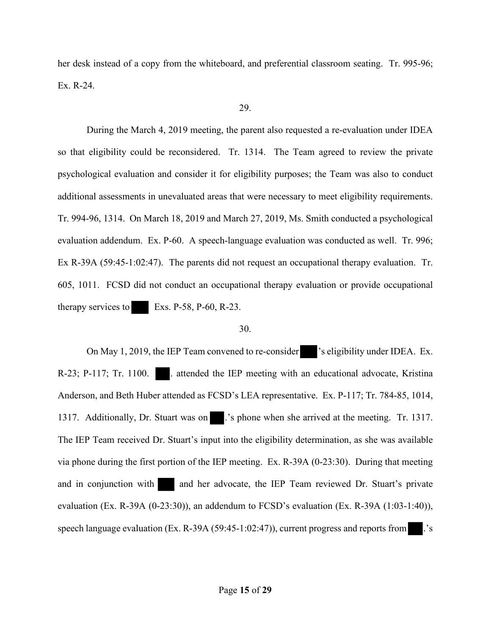her desk instead of a copy from the whiteboard, and preferential classroom seating. Tr. 995-96; Ex. R-24.

## 29.

During the March 4, 2019 meeting, the parent also requested a re-evaluation under IDEA so that eligibility could be reconsidered. Tr. 1314. The Team agreed to review the private psychological evaluation and consider it for eligibility purposes; the Team was also to conduct additional assessments in unevaluated areas that were necessary to meet eligibility requirements. Tr. 994-96, 1314. On March 18, 2019 and March 27, 2019, Ms. Smith conducted a psychological evaluation addendum. Ex. P-60. A speech-language evaluation was conducted as well. Tr. 996; Ex R-39A (59:45-1:02:47). The parents did not request an occupational therapy evaluation. Tr. 605, 1011. FCSD did not conduct an occupational therapy evaluation or provide occupational therapy services to Exs. P-58, P-60, R-23.

#### 30.

On May 1, 2019, the IEP Team convened to re-consider 's eligibility under IDEA. Ex. R-23; P-117; Tr. 1100. ... attended the IEP meeting with an educational advocate, Kristina Anderson, and Beth Huber attended as FCSD's LEA representative. Ex. P-117; Tr. 784-85, 1014, 1317. Additionally, Dr. Stuart was on ...'s phone when she arrived at the meeting. Tr. 1317. The IEP Team received Dr. Stuart's input into the eligibility determination, as she was available via phone during the first portion of the IEP meeting. Ex. R-39A (0-23:30). During that meeting and in conjunction with and her advocate, the IEP Team reviewed Dr. Stuart's private evaluation (Ex. R-39A (0-23:30)), an addendum to FCSD's evaluation (Ex. R-39A (1:03-1:40)), speech language evaluation (Ex. R-39A (59:45-1:02:47)), current progress and reports from .'s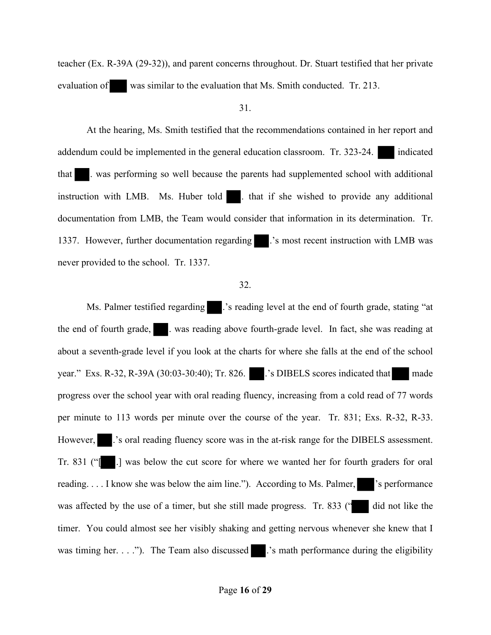teacher (Ex. R-39A (29-32)), and parent concerns throughout. Dr. Stuart testified that her private evaluation of was similar to the evaluation that Ms. Smith conducted. Tr. 213.

#### 31.

At the hearing, Ms. Smith testified that the recommendations contained in her report and addendum could be implemented in the general education classroom. Tr. 323-24. indicated that . was performing so well because the parents had supplemented school with additional instruction with LMB. Ms. Huber told . that if she wished to provide any additional documentation from LMB, the Team would consider that information in its determination. Tr. 1337. However, further documentation regarding .'s most recent instruction with LMB was never provided to the school. Tr. 1337.

## 32.

Ms. Palmer testified regarding ... 's reading level at the end of fourth grade, stating "at the end of fourth grade, . was reading above fourth-grade level. In fact, she was reading at about a seventh-grade level if you look at the charts for where she falls at the end of the school year." Exs. R-32, R-39A (30:03-30:40); Tr. 826. . . .'s DIBELS scores indicated that made progress over the school year with oral reading fluency, increasing from a cold read of 77 words per minute to 113 words per minute over the course of the year. Tr. 831; Exs. R-32, R-33. However, ...'s oral reading fluency score was in the at-risk range for the DIBELS assessment. Tr. 831 ("[ .] was below the cut score for where we wanted her for fourth graders for oral reading. . . . I know she was below the aim line."). According to Ms. Palmer, 's performance was affected by the use of a timer, but she still made progress. Tr. 833 ("I did not like the timer. You could almost see her visibly shaking and getting nervous whenever she knew that I was timing her. . . ."). The Team also discussed ...'s math performance during the eligibility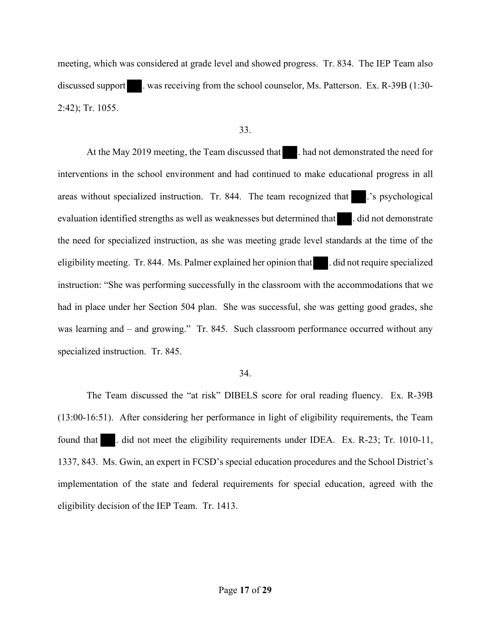meeting, which was considered at grade level and showed progress. Tr. 834. The IEP Team also discussed support . was receiving from the school counselor, Ms. Patterson. Ex. R-39B (1:30-2:42); Tr. 1055.

## 33.

At the May 2019 meeting, the Team discussed that **All had not demonstrated the need for** interventions in the school environment and had continued to make educational progress in all areas without specialized instruction. Tr. 844. The team recognized that ...'s psychological evaluation identified strengths as well as weaknesses but determined that . did not demonstrate the need for specialized instruction, as she was meeting grade level standards at the time of the eligibility meeting. Tr. 844. Ms. Palmer explained her opinion that . did not require specialized instruction: "She was performing successfully in the classroom with the accommodations that we had in place under her Section 504 plan. She was successful, she was getting good grades, she was learning and – and growing." Tr. 845. Such classroom performance occurred without any specialized instruction. Tr. 845.

## 34.

The Team discussed the "at risk" DIBELS score for oral reading fluency. Ex. R-39B (13:00-16:51). After considering her performance in light of eligibility requirements, the Team found that . did not meet the eligibility requirements under IDEA. Ex. R-23; Tr. 1010-11, 1337, 843. Ms. Gwin, an expert in FCSD's special education procedures and the School District's implementation of the state and federal requirements for special education, agreed with the eligibility decision of the IEP Team. Tr. 1413.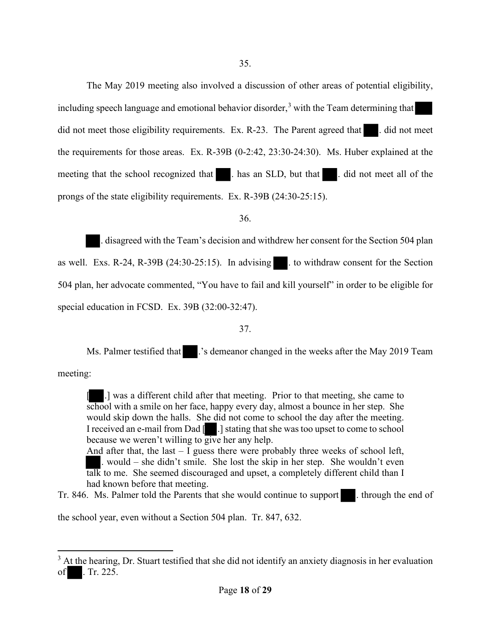The May 2019 meeting also involved a discussion of other areas of potential eligibility, including speech language and emotional behavior disorder,<sup>3</sup> with the Team determining that did not meet those eligibility requirements. Ex. R-23. The Parent agreed that  $\blacksquare$ . did not meet the requirements for those areas. Ex. R-39B (0-2:42, 23:30-24:30). Ms. Huber explained at the meeting that the school recognized that . has an SLD, but that . did not meet all of the prongs of the state eligibility requirements. Ex. R-39B (24:30-25:15).

36.

. disagreed with the Team's decision and withdrew her consent for the Section 504 plan as well. Exs. R-24, R-39B  $(24:30-25:15)$ . In advising  $\blacksquare$  to withdraw consent for the Section 504 plan, her advocate commented, "You have to fail and kill yourself" in order to be eligible for special education in FCSD. Ex. 39B (32:00-32:47).

## 37.

Ms. Palmer testified that ...'s demeanor changed in the weeks after the May 2019 Team

meeting:

[ .] was a different child after that meeting. Prior to that meeting, she came to school with a smile on her face, happy every day, almost a bounce in her step. She would skip down the halls. She did not come to school the day after the meeting. I received an e-mail from Dad [ .] stating that she was too upset to come to school because we weren't willing to give her any help.

And after that, the last  $-1$  guess there were probably three weeks of school left, . would – she didn't smile. She lost the skip in her step. She wouldn't even talk to me. She seemed discouraged and upset, a completely different child than I had known before that meeting.

Tr. 846. Ms. Palmer told the Parents that she would continue to support . through the end of

the school year, even without a Section 504 plan. Tr. 847, 632.

 $3$  At the hearing, Dr. Stuart testified that she did not identify an anxiety diagnosis in her evaluation of . Tr. 225.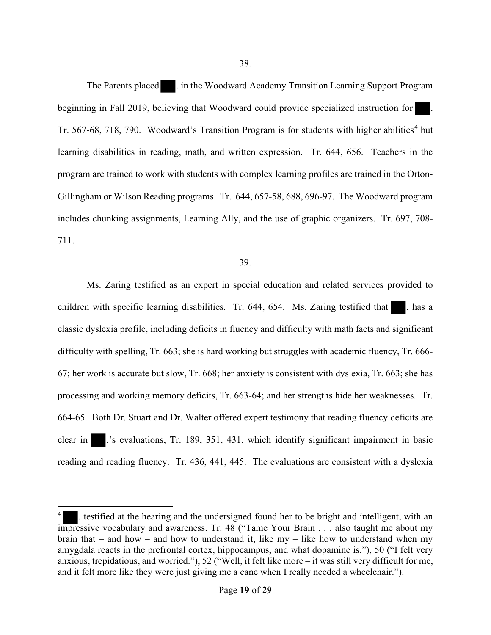The Parents placed . in the Woodward Academy Transition Learning Support Program beginning in Fall 2019, believing that Woodward could provide specialized instruction for Tr. 567-68, 718, 790. Woodward's Transition Program is for students with higher abilities<sup>4</sup> but learning disabilities in reading, math, and written expression. Tr. 644, 656. Teachers in the program are trained to work with students with complex learning profiles are trained in the Orton-Gillingham or Wilson Reading programs. Tr. 644, 657-58, 688, 696-97. The Woodward program includes chunking assignments, Learning Ally, and the use of graphic organizers. Tr. 697, 708- 711.

#### 39.

Ms. Zaring testified as an expert in special education and related services provided to children with specific learning disabilities. Tr.  $644, 654$ . Ms. Zaring testified that  $\blacksquare$ . has a classic dyslexia profile, including deficits in fluency and difficulty with math facts and significant difficulty with spelling, Tr. 663; she is hard working but struggles with academic fluency, Tr. 666- 67; her work is accurate but slow, Tr. 668; her anxiety is consistent with dyslexia, Tr. 663; she has processing and working memory deficits, Tr. 663-64; and her strengths hide her weaknesses. Tr. 664-65. Both Dr. Stuart and Dr. Walter offered expert testimony that reading fluency deficits are clear in .'s evaluations, Tr. 189, 351, 431, which identify significant impairment in basic reading and reading fluency. Tr. 436, 441, 445. The evaluations are consistent with a dyslexia

testified at the hearing and the undersigned found her to be bright and intelligent, with an impressive vocabulary and awareness. Tr. 48 ("Tame Your Brain . . . also taught me about my brain that – and how – and how to understand it, like  $my$  – like how to understand when my amygdala reacts in the prefrontal cortex, hippocampus, and what dopamine is."), 50 ("I felt very anxious, trepidatious, and worried."), 52 ("Well, it felt like more – it was still very difficult for me, and it felt more like they were just giving me a cane when I really needed a wheelchair.").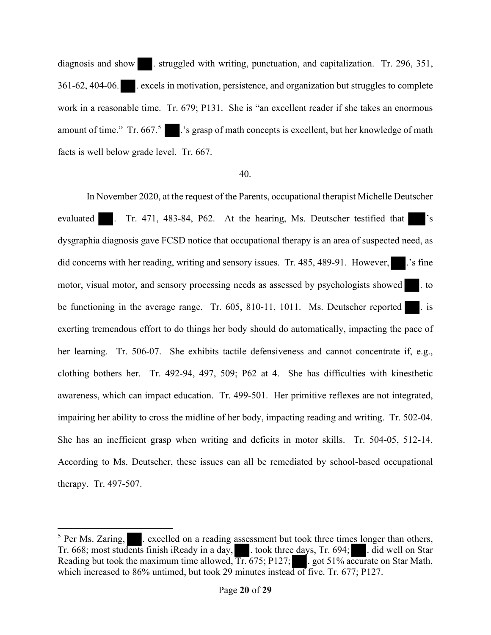diagnosis and show . struggled with writing, punctuation, and capitalization. Tr. 296, 351, 361-62, 404-06. . excels in motivation, persistence, and organization but struggles to complete work in a reasonable time. Tr. 679; P131. She is "an excellent reader if she takes an enormous amount of time." Tr.  $667$ .<sup>5</sup> :  $\cdot$  is grasp of math concepts is excellent, but her knowledge of math facts is well below grade level. Tr. 667.

## 40.

In November 2020, at the request of the Parents, occupational therapist Michelle Deutscher evaluated . Tr. 471, 483-84, P62. At the hearing, Ms. Deutscher testified that 's dysgraphia diagnosis gave FCSD notice that occupational therapy is an area of suspected need, as did concerns with her reading, writing and sensory issues. Tr.  $485, 489-91$ . However,  $\therefore$  is fine motor, visual motor, and sensory processing needs as assessed by psychologists showed . to be functioning in the average range. Tr.  $605$ ,  $810-11$ ,  $1011$ . Ms. Deutscher reported  $\blacksquare$ . is exerting tremendous effort to do things her body should do automatically, impacting the pace of her learning. Tr. 506-07. She exhibits tactile defensiveness and cannot concentrate if, e.g., clothing bothers her. Tr. 492-94, 497, 509; P62 at 4. She has difficulties with kinesthetic awareness, which can impact education. Tr. 499-501. Her primitive reflexes are not integrated, impairing her ability to cross the midline of her body, impacting reading and writing. Tr. 502-04. She has an inefficient grasp when writing and deficits in motor skills. Tr. 504-05, 512-14. According to Ms. Deutscher, these issues can all be remediated by school-based occupational therapy. Tr. 497-507.

 $<sup>5</sup>$  Per Ms. Zaring,  $\blacksquare$ . excelled on a reading assessment but took three times longer than others,</sup> Tr. 668; most students finish iReady in a day, . took three days, Tr. 694; . did well on Star Reading but took the maximum time allowed,  $Tr. 675$ ; P127; ... got 51% accurate on Star Math, which increased to 86% untimed, but took 29 minutes instead of five. Tr. 677; P127.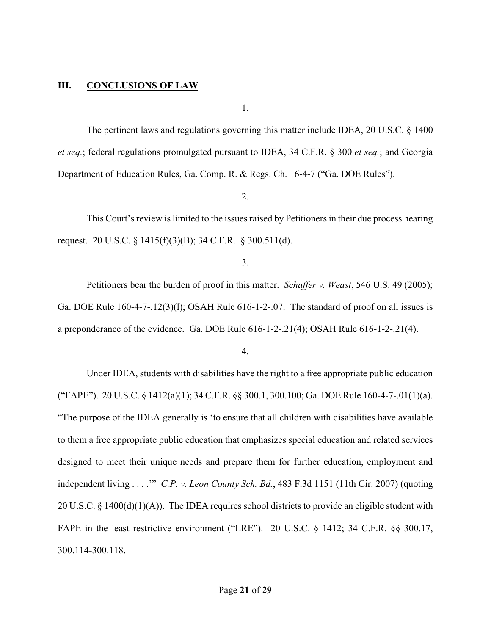## **III. CONCLUSIONS OF LAW**

1.

The pertinent laws and regulations governing this matter include IDEA, 20 U.S.C. § 1400 *et seq.*; federal regulations promulgated pursuant to IDEA, 34 C.F.R. § 300 *et seq.*; and Georgia Department of Education Rules, Ga. Comp. R. & Regs. Ch. 16-4-7 ("Ga. DOE Rules").

2.

This Court's review is limited to the issues raised by Petitioners in their due process hearing request. 20 U.S.C. § 1415(f)(3)(B); 34 C.F.R. § 300.511(d).

3.

Petitioners bear the burden of proof in this matter. *Schaffer v. Weast*, 546 U.S. 49 (2005); Ga. DOE Rule  $160-4-7-12(3)(1)$ ; OSAH Rule  $616-1-2-07$ . The standard of proof on all issues is a preponderance of the evidence. Ga. DOE Rule 616-1-2-.21(4); OSAH Rule 616-1-2-.21(4).

## 4.

Under IDEA, students with disabilities have the right to a free appropriate public education ("FAPE"). 20 U.S.C. § 1412(a)(1); 34 C.F.R. §§ 300.1, 300.100; Ga. DOE Rule 160-4-7-.01(1)(a). "The purpose of the IDEA generally is 'to ensure that all children with disabilities have available to them a free appropriate public education that emphasizes special education and related services designed to meet their unique needs and prepare them for further education, employment and independent living . . . .'" *C.P. v. Leon County Sch. Bd.*, 483 F.3d 1151 (11th Cir. 2007) (quoting 20 U.S.C. § 1400(d)(1)(A)). The IDEA requires school districts to provide an eligible student with FAPE in the least restrictive environment ("LRE"). 20 U.S.C. § 1412; 34 C.F.R. §§ 300.17, 300.114-300.118.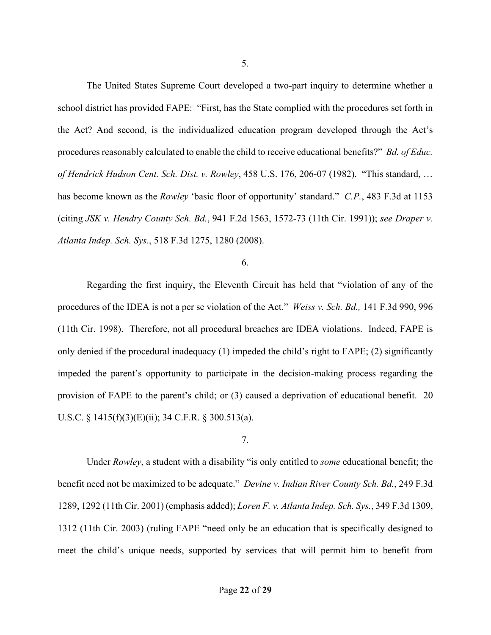The United States Supreme Court developed a two-part inquiry to determine whether a school district has provided FAPE: "First, has the State complied with the procedures set forth in the Act? And second, is the individualized education program developed through the Act's procedures reasonably calculated to enable the child to receive educational benefits?" *Bd. of Educ. of Hendrick Hudson Cent. Sch. Dist. v. Rowley*, 458 U.S. 176, 206-07 (1982). "This standard, … has become known as the *Rowley* 'basic floor of opportunity' standard." *C.P.*, 483 F.3d at 1153 (citing *JSK v. Hendry County Sch. Bd.*, 941 F.2d 1563, 1572-73 (11th Cir. 1991)); *see Draper v. Atlanta Indep. Sch. Sys.*, 518 F.3d 1275, 1280 (2008).

# 6.

Regarding the first inquiry, the Eleventh Circuit has held that "violation of any of the procedures of the IDEA is not a per se violation of the Act." *Weiss v. Sch. Bd.,* 141 F.3d 990, 996 (11th Cir. 1998). Therefore, not all procedural breaches are IDEA violations. Indeed, FAPE is only denied if the procedural inadequacy (1) impeded the child's right to FAPE; (2) significantly impeded the parent's opportunity to participate in the decision-making process regarding the provision of FAPE to the parent's child; or (3) caused a deprivation of educational benefit. 20 U.S.C. § 1415(f)(3)(E)(ii); 34 C.F.R. § 300.513(a).

## 7.

Under *Rowley*, a student with a disability "is only entitled to *some* educational benefit; the benefit need not be maximized to be adequate." *Devine v. Indian River County Sch. Bd.*, 249 F.3d 1289, 1292 (11th Cir. 2001) (emphasis added); *Loren F. v. Atlanta Indep. Sch. Sys.*, 349 F.3d 1309, 1312 (11th Cir. 2003) (ruling FAPE "need only be an education that is specifically designed to meet the child's unique needs, supported by services that will permit him to benefit from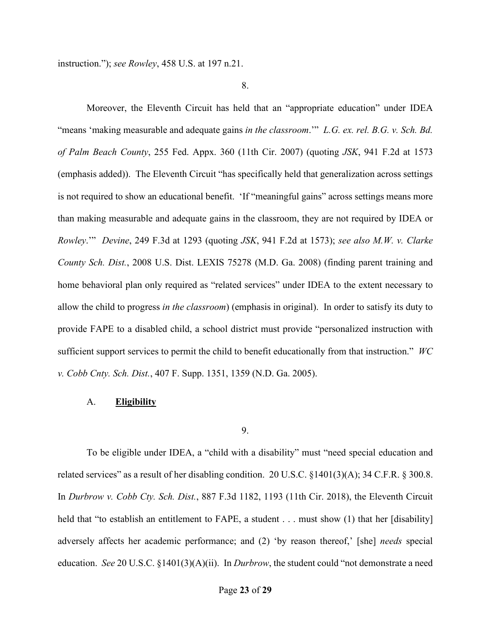instruction."); *see Rowley*, 458 U.S. at 197 n.21.

8.

Moreover, the Eleventh Circuit has held that an "appropriate education" under IDEA "means 'making measurable and adequate gains *in the classroom*.'" *L.G. ex. rel. B.G. v. Sch. Bd. of Palm Beach County*, 255 Fed. Appx. 360 (11th Cir. 2007) (quoting *JSK*, 941 F.2d at 1573 (emphasis added)). The Eleventh Circuit "has specifically held that generalization across settings is not required to show an educational benefit. 'If "meaningful gains" across settings means more than making measurable and adequate gains in the classroom, they are not required by IDEA or *Rowley*.'" *Devine*, 249 F.3d at 1293 (quoting *JSK*, 941 F.2d at 1573); *see also M.W. v. Clarke County Sch. Dist.*, 2008 U.S. Dist. LEXIS 75278 (M.D. Ga. 2008) (finding parent training and home behavioral plan only required as "related services" under IDEA to the extent necessary to allow the child to progress *in the classroom*) (emphasis in original). In order to satisfy its duty to provide FAPE to a disabled child, a school district must provide "personalized instruction with sufficient support services to permit the child to benefit educationally from that instruction." *WC v. Cobb Cnty. Sch. Dist.*, 407 F. Supp. 1351, 1359 (N.D. Ga. 2005).

#### A. **Eligibility**

#### 9.

To be eligible under IDEA, a "child with a disability" must "need special education and related services" as a result of her disabling condition. 20 U.S.C.  $\S 1401(3)(A)$ ; 34 C.F.R.  $\S 300.8$ . In *Durbrow v. Cobb Cty. Sch. Dist.*, 887 F.3d 1182, 1193 (11th Cir. 2018), the Eleventh Circuit held that "to establish an entitlement to FAPE, a student . . . must show (1) that her [disability] adversely affects her academic performance; and (2) 'by reason thereof,' [she] *needs* special education. *See* 20 U.S.C. §1401(3)(A)(ii). In *Durbrow*, the student could "not demonstrate a need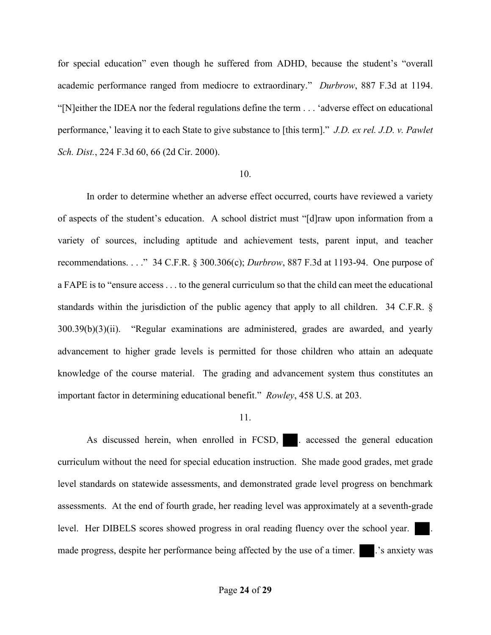for special education" even though he suffered from ADHD, because the student's "overall academic performance ranged from mediocre to extraordinary." *Durbrow*, 887 F.3d at 1194. "[N]either the IDEA nor the federal regulations define the term . . . 'adverse effect on educational performance,' leaving it to each State to give substance to [this term]." *J.D. ex rel. J.D. v. Pawlet Sch. Dist.*, 224 F.3d 60, 66 (2d Cir. 2000).

#### 10.

In order to determine whether an adverse effect occurred, courts have reviewed a variety of aspects of the student's education. A school district must "[d]raw upon information from a variety of sources, including aptitude and achievement tests, parent input, and teacher recommendations. . . ." 34 C.F.R. § 300.306(c); *Durbrow*, 887 F.3d at 1193-94. One purpose of a FAPE is to "ensure access . . . to the general curriculum so that the child can meet the educational standards within the jurisdiction of the public agency that apply to all children. 34 C.F.R. § 300.39(b)(3)(ii). "Regular examinations are administered, grades are awarded, and yearly advancement to higher grade levels is permitted for those children who attain an adequate knowledge of the course material. The grading and advancement system thus constitutes an important factor in determining educational benefit." *Rowley*, 458 U.S. at 203.

## 11.

As discussed herein, when enrolled in FCSD, accessed the general education curriculum without the need for special education instruction. She made good grades, met grade level standards on statewide assessments, and demonstrated grade level progress on benchmark assessments. At the end of fourth grade, her reading level was approximately at a seventh-grade level. Her DIBELS scores showed progress in oral reading fluency over the school year. made progress, despite her performance being affected by the use of a timer. . . 's anxiety was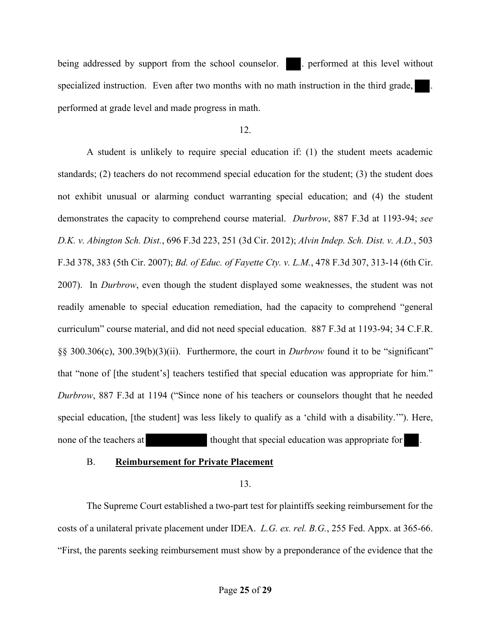being addressed by support from the school counselor. . . . . performed at this level without specialized instruction. Even after two months with no math instruction in the third grade, performed at grade level and made progress in math.

## 12.

A student is unlikely to require special education if: (1) the student meets academic standards; (2) teachers do not recommend special education for the student; (3) the student does not exhibit unusual or alarming conduct warranting special education; and (4) the student demonstrates the capacity to comprehend course material. *Durbrow*, 887 F.3d at 1193-94; *see D.K. v. Abington Sch. Dist.*, 696 F.3d 223, 251 (3d Cir. 2012); *Alvin Indep. Sch. Dist. v. A.D.*, 503 F.3d 378, 383 (5th Cir. 2007); *Bd. of Educ. of Fayette Cty. v. L.M.*, 478 F.3d 307, 313-14 (6th Cir. 2007). In *Durbrow*, even though the student displayed some weaknesses, the student was not readily amenable to special education remediation, had the capacity to comprehend "general curriculum" course material, and did not need special education. 887 F.3d at 1193-94; 34 C.F.R. §§ 300.306(c), 300.39(b)(3)(ii). Furthermore, the court in *Durbrow* found it to be "significant" that "none of [the student's] teachers testified that special education was appropriate for him." *Durbrow*, 887 F.3d at 1194 ("Since none of his teachers or counselors thought that he needed special education, [the student] was less likely to qualify as a 'child with a disability.'"). Here, none of the teachers at thought that special education was appropriate for

## B. **Reimbursement for Private Placement**

13.

The Supreme Court established a two-part test for plaintiffs seeking reimbursement for the costs of a unilateral private placement under IDEA. *L.G. ex. rel. B.G.*, 255 Fed. Appx. at 365-66. "First, the parents seeking reimbursement must show by a preponderance of the evidence that the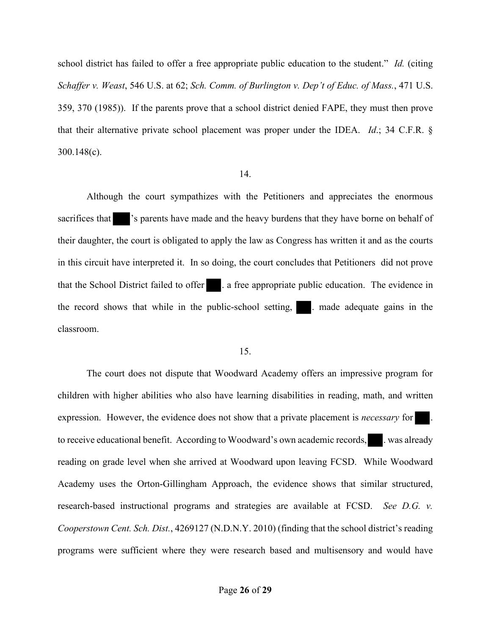school district has failed to offer a free appropriate public education to the student." *Id.* (citing *Schaffer v. Weast*, 546 U.S. at 62; *Sch. Comm. of Burlington v. Dep't of Educ. of Mass.*, 471 U.S. 359, 370 (1985)). If the parents prove that a school district denied FAPE, they must then prove that their alternative private school placement was proper under the IDEA. *Id*.; 34 C.F.R. § 300.148(c).

## 14.

Although the court sympathizes with the Petitioners and appreciates the enormous sacrifices that  $\blacksquare$  's parents have made and the heavy burdens that they have borne on behalf of their daughter, the court is obligated to apply the law as Congress has written it and as the courts in this circuit have interpreted it. In so doing, the court concludes that Petitioners did not prove that the School District failed to offer . a free appropriate public education. The evidence in the record shows that while in the public-school setting,  $\blacksquare$ . made adequate gains in the classroom.

#### 15.

The court does not dispute that Woodward Academy offers an impressive program for children with higher abilities who also have learning disabilities in reading, math, and written expression. However, the evidence does not show that a private placement is *necessary* for . to receive educational benefit. According to Woodward's own academic records, e.g. was already reading on grade level when she arrived at Woodward upon leaving FCSD. While Woodward Academy uses the Orton-Gillingham Approach, the evidence shows that similar structured, research-based instructional programs and strategies are available at FCSD. *See D.G. v. Cooperstown Cent. Sch. Dist.*, 4269127 (N.D.N.Y. 2010) (finding that the school district's reading programs were sufficient where they were research based and multisensory and would have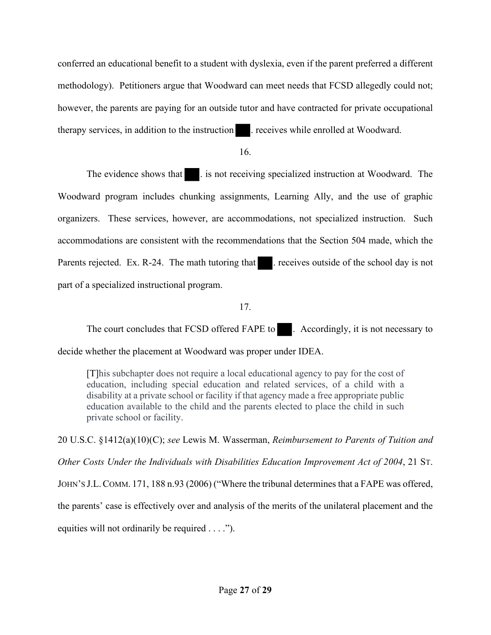conferred an educational benefit to a student with dyslexia, even if the parent preferred a different methodology). Petitioners argue that Woodward can meet needs that FCSD allegedly could not; however, the parents are paying for an outside tutor and have contracted for private occupational therapy services, in addition to the instruction . receives while enrolled at Woodward.

16.

The evidence shows that  $\blacksquare$ . is not receiving specialized instruction at Woodward. The Woodward program includes chunking assignments, Learning Ally, and the use of graphic organizers. These services, however, are accommodations, not specialized instruction. Such accommodations are consistent with the recommendations that the Section 504 made, which the Parents rejected. Ex. R-24. The math tutoring that . receives outside of the school day is not part of a specialized instructional program.

17.

The court concludes that FCSD offered FAPE to . Accordingly, it is not necessary to

decide whether the placement at Woodward was proper under IDEA.

[T]his subchapter does not require a local educational agency to pay for the cost of education, including special education and related services, of a child with a disability at a private school or facility if that agency made a free appropriate public education available to the child and the parents elected to place the child in such private school or facility.

20 U.S.C. §1412(a)(10)(C); *see* Lewis M. Wasserman, *Reimbursement to Parents of Tuition and Other Costs Under the Individuals with Disabilities Education Improvement Act of 2004*, 21 ST. JOHN'S J.L.COMM. 171, 188 n.93 (2006) ("Where the tribunal determines that a FAPE was offered, the parents' case is effectively over and analysis of the merits of the unilateral placement and the equities will not ordinarily be required . . . .").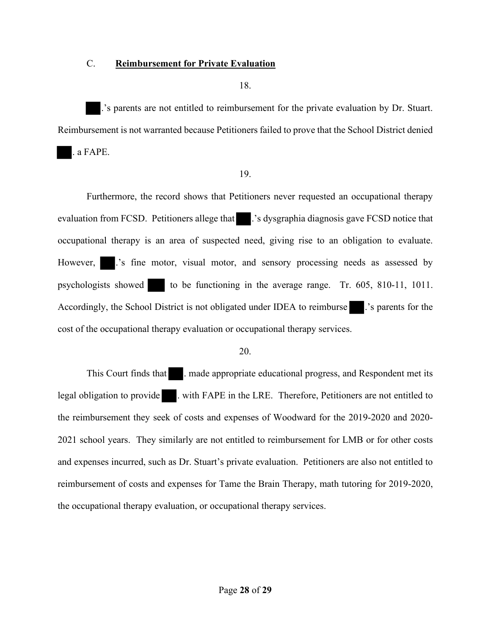## C. **Reimbursement for Private Evaluation**

18.

.'s parents are not entitled to reimbursement for the private evaluation by Dr. Stuart. Reimbursement is not warranted because Petitioners failed to prove that the School District denied

. a FAPE.

## 19.

Furthermore, the record shows that Petitioners never requested an occupational therapy evaluation from FCSD. Petitioners allege that .'s dysgraphia diagnosis gave FCSD notice that occupational therapy is an area of suspected need, giving rise to an obligation to evaluate. However, ...'s fine motor, visual motor, and sensory processing needs as assessed by psychologists showed to be functioning in the average range. Tr. 605, 810-11, 1011. Accordingly, the School District is not obligated under IDEA to reimburse .'s parents for the cost of the occupational therapy evaluation or occupational therapy services.

## 20.

This Court finds that **...** . made appropriate educational progress, and Respondent met its legal obligation to provide . with FAPE in the LRE. Therefore, Petitioners are not entitled to the reimbursement they seek of costs and expenses of Woodward for the 2019-2020 and 2020- 2021 school years. They similarly are not entitled to reimbursement for LMB or for other costs and expenses incurred, such as Dr. Stuart's private evaluation. Petitioners are also not entitled to reimbursement of costs and expenses for Tame the Brain Therapy, math tutoring for 2019-2020, the occupational therapy evaluation, or occupational therapy services.